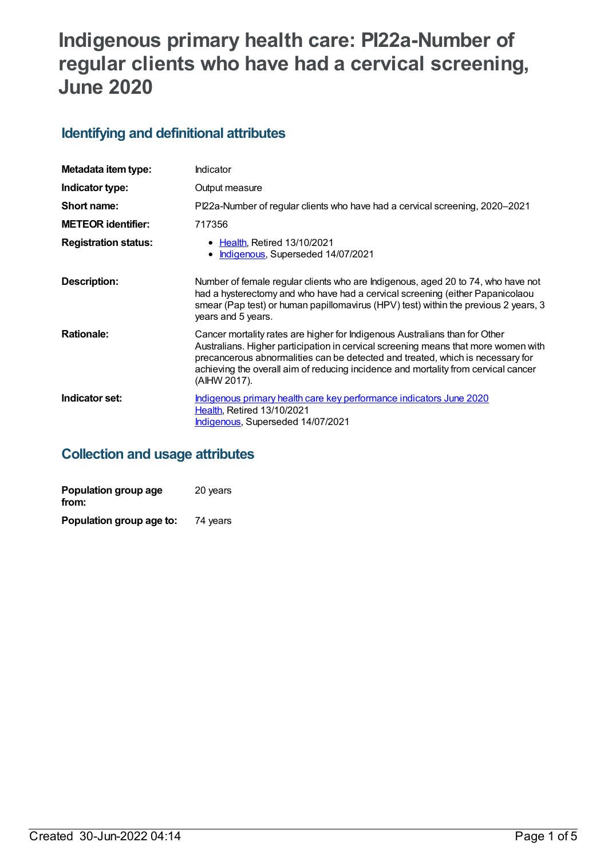# **Indigenous primary health care: PI22a-Number of regular clients who have had a cervical screening, June 2020**

# **Identifying and definitional attributes**

| Metadata item type:         | Indicator                                                                                                                                                                                                                                                                                                                                                 |
|-----------------------------|-----------------------------------------------------------------------------------------------------------------------------------------------------------------------------------------------------------------------------------------------------------------------------------------------------------------------------------------------------------|
| Indicator type:             | Output measure                                                                                                                                                                                                                                                                                                                                            |
| Short name:                 | Pl22a-Number of regular clients who have had a cervical screening, 2020–2021                                                                                                                                                                                                                                                                              |
| <b>METEOR identifier:</b>   | 717356                                                                                                                                                                                                                                                                                                                                                    |
| <b>Registration status:</b> | • Health, Retired 13/10/2021<br>Indigenous, Superseded 14/07/2021                                                                                                                                                                                                                                                                                         |
| Description:                | Number of female regular clients who are Indigenous, aged 20 to 74, who have not<br>had a hysterectomy and who have had a cervical screening (either Papanicolaou<br>smear (Pap test) or human papillomavirus (HPV) test) within the previous 2 years, 3<br>years and 5 years.                                                                            |
| <b>Rationale:</b>           | Cancer mortality rates are higher for Indigenous Australians than for Other<br>Australians. Higher participation in cervical screening means that more women with<br>precancerous abnormalities can be detected and treated, which is necessary for<br>achieving the overall aim of reducing incidence and mortality from cervical cancer<br>(AIHW 2017). |
| Indicator set:              | Indigenous primary health care key performance indicators June 2020<br><b>Health, Retired 13/10/2021</b><br>Indigenous, Superseded 14/07/2021                                                                                                                                                                                                             |

# **Collection and usage attributes**

| Population group age<br>from: | 20 years |
|-------------------------------|----------|
| Population group age to:      | 74 years |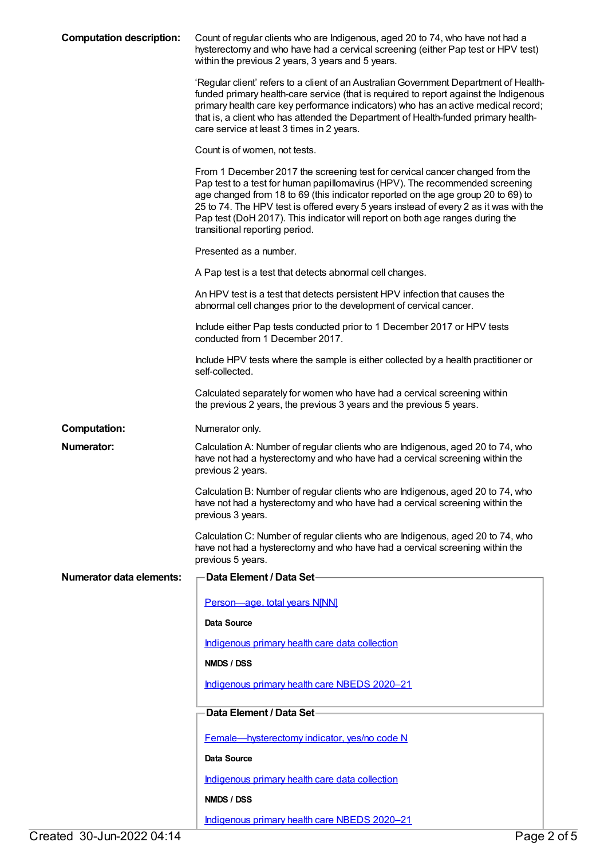| <b>Computation description:</b> | Count of regular clients who are Indigenous, aged 20 to 74, who have not had a<br>hysterectomy and who have had a cervical screening (either Pap test or HPV test)<br>within the previous 2 years, 3 years and 5 years.                                                                                                                                                                                                                                      |
|---------------------------------|--------------------------------------------------------------------------------------------------------------------------------------------------------------------------------------------------------------------------------------------------------------------------------------------------------------------------------------------------------------------------------------------------------------------------------------------------------------|
|                                 | 'Regular client' refers to a client of an Australian Government Department of Health-<br>funded primary health-care service (that is required to report against the Indigenous<br>primary health care key performance indicators) who has an active medical record;<br>that is, a client who has attended the Department of Health-funded primary health-<br>care service at least 3 times in 2 years.                                                       |
|                                 | Count is of women, not tests.                                                                                                                                                                                                                                                                                                                                                                                                                                |
|                                 | From 1 December 2017 the screening test for cervical cancer changed from the<br>Pap test to a test for human papillomavirus (HPV). The recommended screening<br>age changed from 18 to 69 (this indicator reported on the age group 20 to 69) to<br>25 to 74. The HPV test is offered every 5 years instead of every 2 as it was with the<br>Pap test (DoH 2017). This indicator will report on both age ranges during the<br>transitional reporting period. |
|                                 | Presented as a number.                                                                                                                                                                                                                                                                                                                                                                                                                                       |
|                                 | A Pap test is a test that detects abnormal cell changes.                                                                                                                                                                                                                                                                                                                                                                                                     |
|                                 | An HPV test is a test that detects persistent HPV infection that causes the<br>abnormal cell changes prior to the development of cervical cancer.                                                                                                                                                                                                                                                                                                            |
|                                 | Include either Pap tests conducted prior to 1 December 2017 or HPV tests<br>conducted from 1 December 2017.                                                                                                                                                                                                                                                                                                                                                  |
|                                 | Include HPV tests where the sample is either collected by a health practitioner or<br>self-collected.                                                                                                                                                                                                                                                                                                                                                        |
|                                 | Calculated separately for women who have had a cervical screening within<br>the previous 2 years, the previous 3 years and the previous 5 years.                                                                                                                                                                                                                                                                                                             |
| <b>Computation:</b>             | Numerator only.                                                                                                                                                                                                                                                                                                                                                                                                                                              |
| <b>Numerator:</b>               | Calculation A: Number of regular clients who are Indigenous, aged 20 to 74, who<br>have not had a hysterectomy and who have had a cervical screening within the<br>previous 2 years.                                                                                                                                                                                                                                                                         |
|                                 | Calculation B: Number of regular clients who are Indigenous, aged 20 to 74, who<br>have not had a hysterectomy and who have had a cervical screening within the<br>previous 3 years.                                                                                                                                                                                                                                                                         |
|                                 | Calculation C: Number of regular clients who are Indigenous, aged 20 to 74, who<br>have not had a hysterectomy and who have had a cervical screening within the<br>previous 5 years.                                                                                                                                                                                                                                                                         |
| <b>Numerator data elements:</b> | Data Element / Data Set-                                                                                                                                                                                                                                                                                                                                                                                                                                     |
|                                 | Person-age, total years N[NN]                                                                                                                                                                                                                                                                                                                                                                                                                                |
|                                 | Data Source                                                                                                                                                                                                                                                                                                                                                                                                                                                  |
|                                 | Indigenous primary health care data collection                                                                                                                                                                                                                                                                                                                                                                                                               |
|                                 | NMDS / DSS                                                                                                                                                                                                                                                                                                                                                                                                                                                   |
|                                 | Indigenous primary health care NBEDS 2020-21                                                                                                                                                                                                                                                                                                                                                                                                                 |
|                                 | Data Element / Data Set-                                                                                                                                                                                                                                                                                                                                                                                                                                     |
|                                 | Female-hysterectomy indicator, yes/no code N                                                                                                                                                                                                                                                                                                                                                                                                                 |
|                                 | Data Source                                                                                                                                                                                                                                                                                                                                                                                                                                                  |
|                                 | Indigenous primary health care data collection                                                                                                                                                                                                                                                                                                                                                                                                               |
|                                 | NMDS / DSS                                                                                                                                                                                                                                                                                                                                                                                                                                                   |
|                                 | Indigenous primary health care NBEDS 2020-21                                                                                                                                                                                                                                                                                                                                                                                                                 |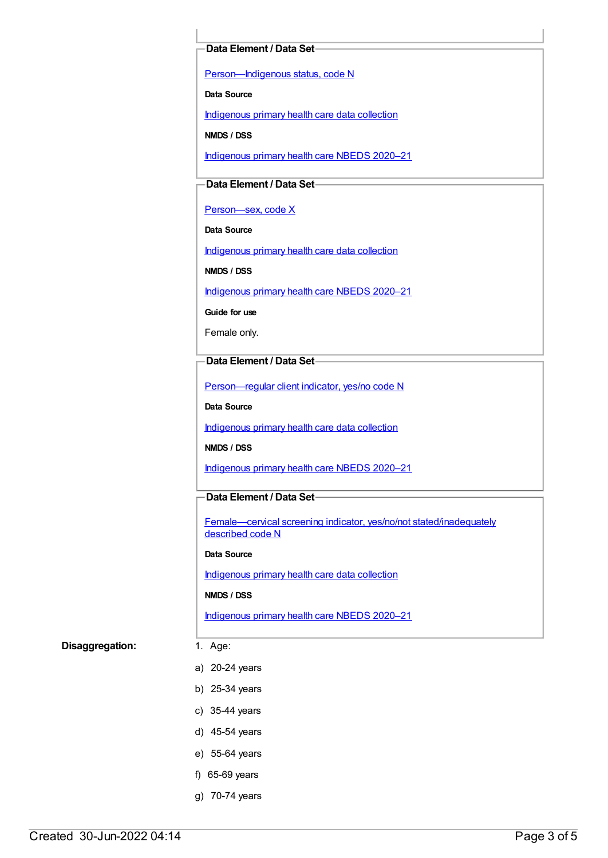#### **Data Element / Data Set**

[Person—Indigenous](https://meteor.aihw.gov.au/content/602543) status, code N

**Data Source**

[Indigenous](https://meteor.aihw.gov.au/content/430643) primary health care data collection

**NMDS / DSS**

[Indigenous](https://meteor.aihw.gov.au/content/715320) primary health care NBEDS 2020–21

### **Data Element / Data Set**

Person-sex, code X

**Data Source**

[Indigenous](https://meteor.aihw.gov.au/content/430643) primary health care data collection

**NMDS / DSS**

[Indigenous](https://meteor.aihw.gov.au/content/715320) primary health care NBEDS 2020–21

**Guide for use**

Female only.

## **Data Element / Data Set**

[Person—regular](https://meteor.aihw.gov.au/content/686291) client indicator, yes/no code N

**Data Source**

[Indigenous](https://meteor.aihw.gov.au/content/430643) primary health care data collection

**NMDS / DSS**

[Indigenous](https://meteor.aihw.gov.au/content/715320) primary health care NBEDS 2020–21

#### **Data Element / Data Set**

Female—cervical screening indicator, yes/no/not [stated/inadequately](https://meteor.aihw.gov.au/content/719551) described code N

#### **Data Source**

[Indigenous](https://meteor.aihw.gov.au/content/430643) primary health care data collection

**NMDS / DSS**

[Indigenous](https://meteor.aihw.gov.au/content/715320) primary health care NBEDS 2020–21

#### **Disaggregation:** 1. Age:

- a) 20-24 years
- b) 25-34 years
- c) 35-44 years
- d) 45-54 years
- e) 55-64 years
- f) 65-69 years
- g) 70-74 years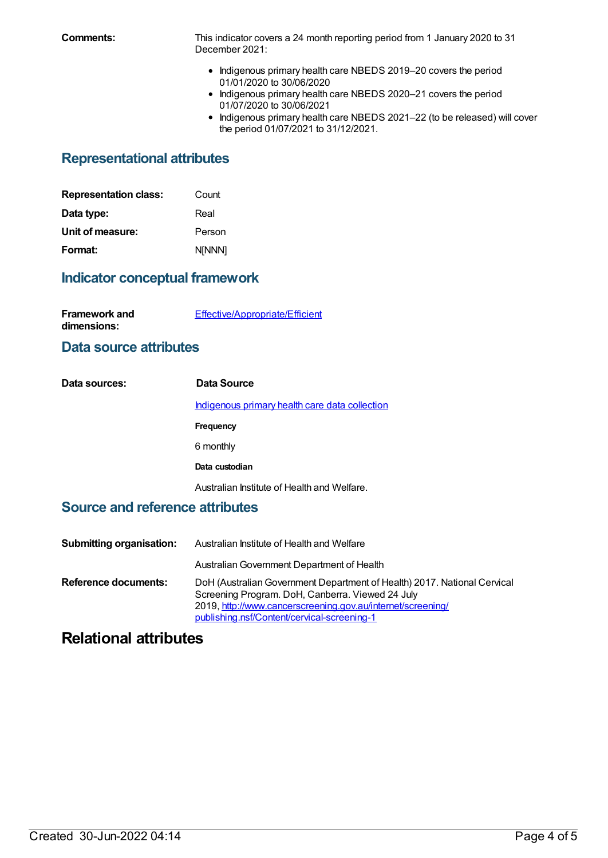**Comments:** This indicator covers a 24 month reporting period from 1 January 2020 to 31 December 2021:

- Indigenous primary health care NBEDS 2019-20 covers the period 01/01/2020 to 30/06/2020
- Indigenous primary health care NBEDS 2020-21 covers the period 01/07/2020 to 30/06/2021
- Indigenous primary health care NBEDS 2021-22 (to be released) will cover the period 01/07/2021 to 31/12/2021.

# **Representational attributes**

| <b>Representation class:</b> | Count         |
|------------------------------|---------------|
| Data type:                   | Real          |
| Unit of measure:             | Person        |
| Format:                      | <b>NINNN1</b> |

# **Indicator conceptual framework**

| <b>Framework and</b> | Effective/Appropriate/Efficient |
|----------------------|---------------------------------|
| dimensions:          |                                 |

## **Data source attributes**

| Data sources: | Data Source                                           |
|---------------|-------------------------------------------------------|
|               | <u>Indigenous primary health care data collection</u> |
|               | Frequency                                             |
|               | 6 monthly                                             |
|               | Data custodian                                        |
|               | Australian Institute of Health and Welfare.           |

## **Source and reference attributes**

| <b>Submitting organisation:</b> | Australian Institute of Health and Welfare                                                                                                                                                                                                 |
|---------------------------------|--------------------------------------------------------------------------------------------------------------------------------------------------------------------------------------------------------------------------------------------|
|                                 | Australian Government Department of Health                                                                                                                                                                                                 |
| Reference documents:            | DoH (Australian Government Department of Health) 2017. National Cervical<br>Screening Program. DoH, Canberra. Viewed 24 July<br>2019, http://www.cancerscreening.gov.au/internet/screening/<br>publishing.nsf/Content/cervical-screening-1 |

# **Relational attributes**